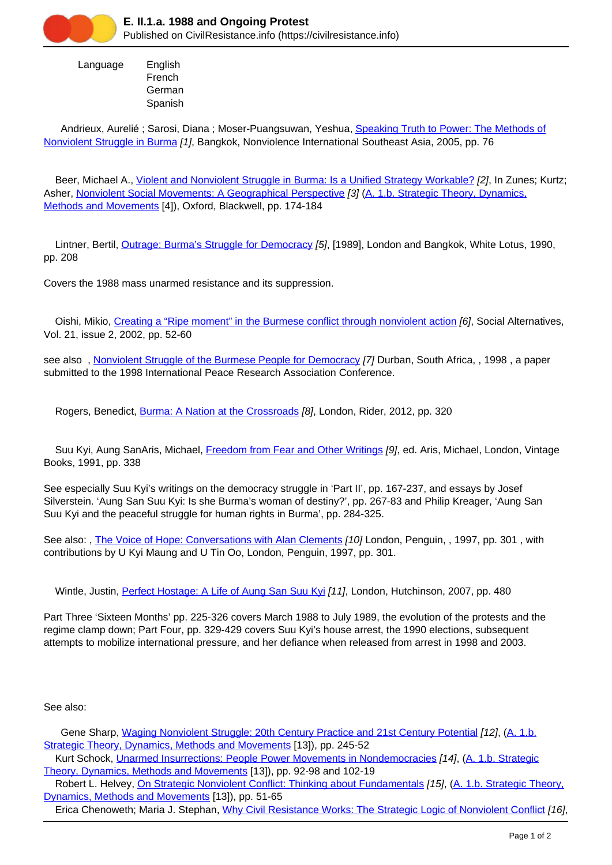

 Language English French German Spanish

Andrieux, Aurelié ; Sarosi, Diana ; Moser-Puangsuwan, Yeshua, [Speaking Truth to Power: The Methods of](https://civilresistance.info/biblio-item/2005/speaking-truth-power-methods-nonviolent-struggle-burma) [Nonviolent Struggle in Burma](https://civilresistance.info/biblio-item/2005/speaking-truth-power-methods-nonviolent-struggle-burma) [1], Bangkok, Nonviolence International Southeast Asia, 2005, pp. 76

Beer, Michael A., [Violent and Nonviolent Struggle in Burma: Is a Unified Strategy Workable?](https://civilresistance.info/biblio-item/1999/violent-and-nonviolent-struggle-burma-unified-strategy-workable) [2], In Zunes; Kurtz; Asher, [Nonviolent Social Movements: A Geographical Perspective](https://civilresistance.info/biblio-item/1999/nonviolent-social-movements-geographical-perspective) [3] [\(A. 1.b. Strategic Theory, Dynamics,](https://civilresistance.info/section/introduction-nonviolent-action/1-theory-methods-and-examples/1b-strategic-theory-dynamics) [Methods and Movements](https://civilresistance.info/section/introduction-nonviolent-action/1-theory-methods-and-examples/1b-strategic-theory-dynamics) [4]), Oxford, Blackwell, pp. 174-184

 Lintner, Bertil, [Outrage: Burma's Struggle for Democracy](https://civilresistance.info/biblio-item/1990/outrage-burmas-struggle-democracy) [5], [1989], London and Bangkok, White Lotus, 1990, pp. 208

Covers the 1988 mass unarmed resistance and its suppression.

Oishi, Mikio, [Creating a "Ripe moment" in the Burmese conflict through nonviolent action](https://civilresistance.info/biblio-item/2002/creating-ripe-moment-burmese-conflict-through-nonviolent-action) [6], Social Alternatives, Vol. 21, issue 2, 2002, pp. 52-60

see also, [Nonviolent Struggle of the Burmese People for Democracy](https://civilresistance.info/biblio-item/1998/nonviolent-struggle-burmese-people-democracy) [7] Durban, South Africa, , 1998, a paper submitted to the 1998 International Peace Research Association Conference.

Rogers, Benedict, [Burma: A Nation at the Crossroads](https://civilresistance.info/biblio-item/2012/burma-nation-crossroads) [8], London, Rider, 2012, pp. 320

 Suu Kyi, Aung SanAris, Michael, [Freedom from Fear and Other Writings](https://civilresistance.info/biblio-item/1991/freedom-fear-and-other-writings) [9], ed. Aris, Michael, London, Vintage Books, 1991, pp. 338

See especially Suu Kyi's writings on the democracy struggle in 'Part II', pp. 167-237, and essays by Josef Silverstein. 'Aung San Suu Kyi: Is she Burma's woman of destiny?', pp. 267-83 and Philip Kreager, 'Aung San Suu Kyi and the peaceful struggle for human rights in Burma', pp. 284-325.

See also: , [The Voice of Hope: Conversations with Alan Clements](https://civilresistance.info/biblio-item/1997/voice-hope-conversations-alan-clements) [10] London, Penguin, , 1997, pp. 301, with contributions by U Kyi Maung and U Tin Oo, London, Penguin, 1997, pp. 301.

Wintle, Justin, [Perfect Hostage: A Life of Aung San Suu Kyi](https://civilresistance.info/biblio-item/2007/perfect-hostage-life-aung-san-suu-kyi) [11], London, Hutchinson, 2007, pp. 480

Part Three 'Sixteen Months' pp. 225-326 covers March 1988 to July 1989, the evolution of the protests and the regime clamp down; Part Four, pp. 329-429 covers Suu Kyi's house arrest, the 1990 elections, subsequent attempts to mobilize international pressure, and her defiance when released from arrest in 1998 and 2003.

See also:

Gene Sharp, [Waging Nonviolent Struggle: 20th Century Practice and 21st Century Potential](https://civilresistance.info/biblio-item/2005/waging-nonviolent-struggle-20th-century-practice-and-21st-century-potential) [12], (A. 1.b. Strategic Theory, Dynamics, Methods and Movements [13]), pp. 245-52

Kurt Schock, [Unarmed Insurrections: People Power Movements in Nondemocracies](https://civilresistance.info/biblio-item/2005/unarmed-insurrections-people-power-movements-nondemocracies) [14], (A. 1.b. Strategic Theory, Dynamics, Methods and Movements [13]), pp. 92-98 and 102-19

 Robert L. Helvey, [On Strategic Nonviolent Conflict: Thinking about Fundamentals](https://civilresistance.info/biblio-item/2004/strategic-nonviolent-conflict-thinking-about-fundamentals) [15], (A. 1.b. Strategic Theory, Dynamics, Methods and Movements [13]), pp. 51-65

Erica Chenoweth; Maria J. Stephan, [Why Civil Resistance Works: The Strategic Logic of Nonviolent Conflict](https://civilresistance.info/biblio-item/2011/why-civil-resistance-works-strategic-logic-nonviolent-conflict) [16],